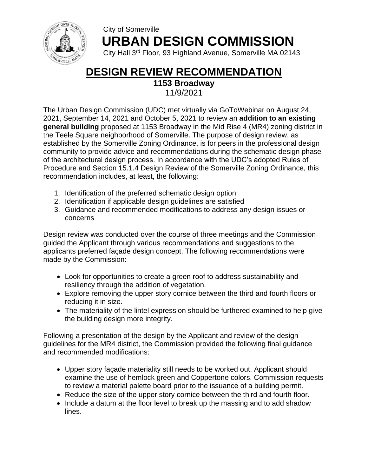

## City of Somerville  **URBAN DESIGN COMMISSION**

City Hall 3rd Floor, 93 Highland Avenue, Somerville MA 02143

# **DESIGN REVIEW RECOMMENDATION**

**1153 Broadway** 

11/9/2021

The Urban Design Commission (UDC) met virtually via GoToWebinar on August 24, 2021, September 14, 2021 and October 5, 2021 to review an **addition to an existing general building** proposed at 1153 Broadway in the Mid Rise 4 (MR4) zoning district in the Teele Square neighborhood of Somerville. The purpose of design review, as established by the Somerville Zoning Ordinance, is for peers in the professional design community to provide advice and recommendations during the schematic design phase of the architectural design process. In accordance with the UDC's adopted Rules of Procedure and Section 15.1.4 Design Review of the Somerville Zoning Ordinance, this recommendation includes, at least, the following:

- 1. Identification of the preferred schematic design option
- 2. Identification if applicable design guidelines are satisfied
- 3. Guidance and recommended modifications to address any design issues or concerns

Design review was conducted over the course of three meetings and the Commission guided the Applicant through various recommendations and suggestions to the applicants preferred façade design concept. The following recommendations were made by the Commission:

- Look for opportunities to create a green roof to address sustainability and resiliency through the addition of vegetation.
- Explore removing the upper story cornice between the third and fourth floors or reducing it in size.
- The materiality of the lintel expression should be furthered examined to help give the building design more integrity.

Following a presentation of the design by the Applicant and review of the design guidelines for the MR4 district, the Commission provided the following final guidance and recommended modifications:

- Upper story façade materiality still needs to be worked out. Applicant should examine the use of hemlock green and Coppertone colors. Commission requests to review a material palette board prior to the issuance of a building permit.
- Reduce the size of the upper story cornice between the third and fourth floor.
- Include a datum at the floor level to break up the massing and to add shadow lines.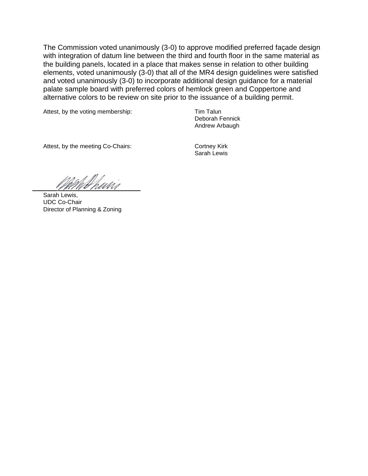The Commission voted unanimously (3-0) to approve modified preferred façade design with integration of datum line between the third and fourth floor in the same material as the building panels, located in a place that makes sense in relation to other building elements, voted unanimously (3-0) that all of the MR4 design guidelines were satisfied and voted unanimously (3-0) to incorporate additional design guidance for a material palate sample board with preferred colors of hemlock green and Coppertone and alternative colors to be review on site prior to the issuance of a building permit.

Attest, by the voting membership: Tim Talun

Deborah Fennick Andrew Arbaugh

Attest, by the meeting Co-Chairs: Cortney Kirk

Sarah Lewis

Whairi

Sarah Lewis, UDC Co-Chair Director of Planning & Zoning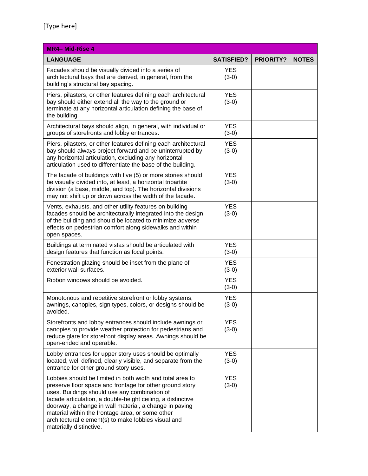| <b>MR4-Mid-Rise 4</b>                                                                                                                                                                                                                                                                                                                                                                                                                 |                       |                  |              |
|---------------------------------------------------------------------------------------------------------------------------------------------------------------------------------------------------------------------------------------------------------------------------------------------------------------------------------------------------------------------------------------------------------------------------------------|-----------------------|------------------|--------------|
| <b>LANGUAGE</b>                                                                                                                                                                                                                                                                                                                                                                                                                       | <b>SATISFIED?</b>     | <b>PRIORITY?</b> | <b>NOTES</b> |
| Facades should be visually divided into a series of<br>architectural bays that are derived, in general, from the<br>building's structural bay spacing.                                                                                                                                                                                                                                                                                | <b>YES</b><br>$(3-0)$ |                  |              |
| Piers, pilasters, or other features defining each architectural<br>bay should either extend all the way to the ground or<br>terminate at any horizontal articulation defining the base of<br>the building.                                                                                                                                                                                                                            | <b>YES</b><br>$(3-0)$ |                  |              |
| Architectural bays should align, in general, with individual or<br>groups of storefronts and lobby entrances.                                                                                                                                                                                                                                                                                                                         | <b>YES</b><br>$(3-0)$ |                  |              |
| Piers, pilasters, or other features defining each architectural<br>bay should always project forward and be uninterrupted by<br>any horizontal articulation, excluding any horizontal<br>articulation used to differentiate the base of the building.                                                                                                                                                                                 | <b>YES</b><br>$(3-0)$ |                  |              |
| The facade of buildings with five (5) or more stories should<br>be visually divided into, at least, a horizontal tripartite<br>division (a base, middle, and top). The horizontal divisions<br>may not shift up or down across the width of the facade.                                                                                                                                                                               | <b>YES</b><br>$(3-0)$ |                  |              |
| Vents, exhausts, and other utility features on building<br>facades should be architecturally integrated into the design<br>of the building and should be located to minimize adverse<br>effects on pedestrian comfort along sidewalks and within<br>open spaces.                                                                                                                                                                      | <b>YES</b><br>$(3-0)$ |                  |              |
| Buildings at terminated vistas should be articulated with<br>design features that function as focal points.                                                                                                                                                                                                                                                                                                                           | <b>YES</b><br>$(3-0)$ |                  |              |
| Fenestration glazing should be inset from the plane of<br>exterior wall surfaces.                                                                                                                                                                                                                                                                                                                                                     | <b>YES</b><br>$(3-0)$ |                  |              |
| Ribbon windows should be avoided.                                                                                                                                                                                                                                                                                                                                                                                                     | <b>YES</b><br>$(3-0)$ |                  |              |
| Monotonous and repetitive storefront or lobby systems,<br>awnings, canopies, sign types, colors, or designs should be<br>avoided.                                                                                                                                                                                                                                                                                                     | <b>YES</b><br>$(3-0)$ |                  |              |
| Storefronts and lobby entrances should include awnings or<br>canopies to provide weather protection for pedestrians and<br>reduce glare for storefront display areas. Awnings should be<br>open-ended and operable.                                                                                                                                                                                                                   | <b>YES</b><br>$(3-0)$ |                  |              |
| Lobby entrances for upper story uses should be optimally<br>located, well defined, clearly visible, and separate from the<br>entrance for other ground story uses.                                                                                                                                                                                                                                                                    | <b>YES</b><br>$(3-0)$ |                  |              |
| Lobbies should be limited in both width and total area to<br>preserve floor space and frontage for other ground story<br>uses. Buildings should use any combination of<br>facade articulation, a double-height ceiling, a distinctive<br>doorway, a change in wall material, a change in paving<br>material within the frontage area, or some other<br>architectural element(s) to make lobbies visual and<br>materially distinctive. | <b>YES</b><br>$(3-0)$ |                  |              |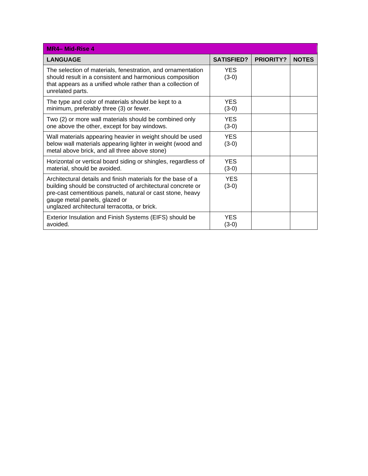| <b>MR4-Mid-Rise 4</b>                                                                                                                                                                                                                                                      |                       |                  |              |
|----------------------------------------------------------------------------------------------------------------------------------------------------------------------------------------------------------------------------------------------------------------------------|-----------------------|------------------|--------------|
| <b>LANGUAGE</b>                                                                                                                                                                                                                                                            | <b>SATISFIED?</b>     | <b>PRIORITY?</b> | <b>NOTES</b> |
| The selection of materials, fenestration, and ornamentation<br>should result in a consistent and harmonious composition<br>that appears as a unified whole rather than a collection of<br>unrelated parts.                                                                 | <b>YES</b><br>$(3-0)$ |                  |              |
| The type and color of materials should be kept to a<br>minimum, preferably three (3) or fewer.                                                                                                                                                                             | <b>YES</b><br>$(3-0)$ |                  |              |
| Two (2) or more wall materials should be combined only<br>one above the other, except for bay windows.                                                                                                                                                                     | <b>YES</b><br>$(3-0)$ |                  |              |
| Wall materials appearing heavier in weight should be used<br>below wall materials appearing lighter in weight (wood and<br>metal above brick, and all three above stone)                                                                                                   | <b>YES</b><br>$(3-0)$ |                  |              |
| Horizontal or vertical board siding or shingles, regardless of<br>material, should be avoided.                                                                                                                                                                             | <b>YES</b><br>$(3-0)$ |                  |              |
| Architectural details and finish materials for the base of a<br>building should be constructed of architectural concrete or<br>pre-cast cementitious panels, natural or cast stone, heavy<br>gauge metal panels, glazed or<br>unglazed architectural terracotta, or brick. | <b>YES</b><br>$(3-0)$ |                  |              |
| Exterior Insulation and Finish Systems (EIFS) should be<br>avoided.                                                                                                                                                                                                        | <b>YES</b><br>$(3-0)$ |                  |              |